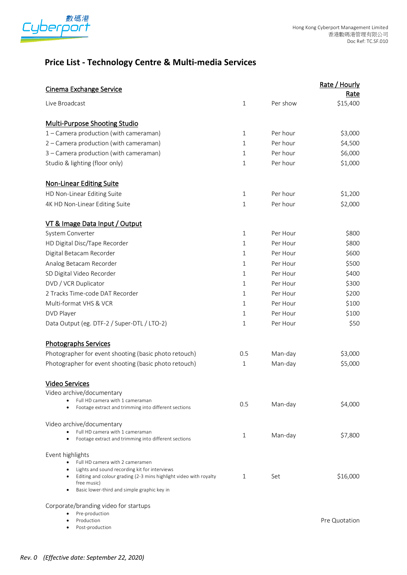

# **Price List - Technology Centre & Multi-media Services**

| <b>Cinema Exchange Service</b>                                                   |              |          | Rate / Hourly |
|----------------------------------------------------------------------------------|--------------|----------|---------------|
|                                                                                  |              |          | Rate          |
| Live Broadcast                                                                   | $\mathbf{1}$ | Per show | \$15,400      |
|                                                                                  |              |          |               |
| Multi-Purpose Shooting Studio                                                    |              |          |               |
| 1 - Camera production (with cameraman)                                           | 1            | Per hour | \$3,000       |
| 2 - Camera production (with cameraman)                                           | 1            | Per hour | \$4,500       |
| 3 - Camera production (with cameraman)                                           | $\mathbf{1}$ | Per hour | \$6,000       |
| Studio & lighting (floor only)                                                   | $\mathbf{1}$ | Per hour | \$1,000       |
| <b>Non-Linear Editing Suite</b>                                                  |              |          |               |
| HD Non-Linear Editing Suite                                                      | $\mathbf{1}$ | Per hour | \$1,200       |
| 4K HD Non-Linear Editing Suite                                                   | $\mathbf{1}$ | Per hour | \$2,000       |
|                                                                                  |              |          |               |
| <b>VT &amp; Image Data Input / Output</b>                                        |              |          |               |
| System Converter                                                                 | $\mathbf{1}$ | Per Hour | \$800         |
| HD Digital Disc/Tape Recorder                                                    | $\mathbf{1}$ | Per Hour | \$800         |
| Digital Betacam Recorder                                                         | 1            | Per Hour | \$600         |
| Analog Betacam Recorder                                                          | $\mathbf{1}$ | Per Hour | \$500         |
| SD Digital Video Recorder                                                        | 1            | Per Hour | \$400         |
| DVD / VCR Duplicator                                                             | $\mathbf{1}$ | Per Hour | \$300         |
| 2 Tracks Time-code DAT Recorder                                                  | 1            | Per Hour | \$200         |
| Multi-format VHS & VCR                                                           | 1            | Per Hour | \$100         |
| DVD Player                                                                       | $\mathbf{1}$ | Per Hour | \$100         |
| Data Output (eg. DTF-2 / Super-DTL / LTO-2)                                      | 1            | Per Hour | \$50          |
| <b>Photographs Services</b>                                                      |              |          |               |
| Photographer for event shooting (basic photo retouch)                            | 0.5          | Man-day  | \$3,000       |
|                                                                                  |              |          | \$5,000       |
| Photographer for event shooting (basic photo retouch)                            | 1            | Man-day  |               |
| <b>Video Services</b>                                                            |              |          |               |
| Video archive/documentary                                                        |              |          |               |
| Full HD camera with 1 cameraman                                                  | 0.5          | Man-day  | \$4,000       |
| Footage extract and trimming into different sections                             |              |          |               |
| Video archive/documentary                                                        |              |          |               |
| Full HD camera with 1 cameraman                                                  | 1            | Man-day  | \$7,800       |
| Footage extract and trimming into different sections                             |              |          |               |
| Event highlights                                                                 |              |          |               |
| Full HD camera with 2 cameramen<br>Lights and sound recording kit for interviews |              |          |               |
| Editing and colour grading (2-3 mins highlight video with royalty                | 1            | Set      | \$16,000      |
| free music)<br>Basic lower-third and simple graphic key in                       |              |          |               |
|                                                                                  |              |          |               |
| Corporate/branding video for startups                                            |              |          |               |
| Pre-production<br>Production                                                     |              |          | Pre Quotation |
| Post-production                                                                  |              |          |               |
|                                                                                  |              |          |               |